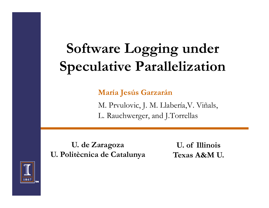#### **Software Logging under Sp l ti P <sup>r</sup> ll liz ti <sup>n</sup> Specu lative Parallelizatio**

 $M$ aría Jesús Garzarán

M. Prvulovic, J. M. Llabería,V. Viñals, L. Rauchwerger, and J.Torrellas

**Ud Z . de Zaragoza U f Illi i U. o IllinosU. Politècnica de Catalunya**

**Texas A&M U.**

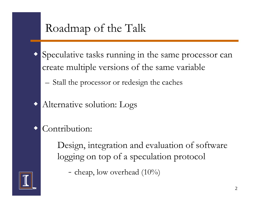#### Roadmap of the Talk

- $\blacklozenge$  Speculative tasks running in the same processor can create multiple versions of the same variable
	- Stall the processor or redesign the caches
- $\blacklozenge$ Alternative solution: Logs
- $\blacklozenge$ Contribution:

Design, integration and evaluation of software logging on top of a speculation protocol

- cheap, low overhead  $(10\%)$ 

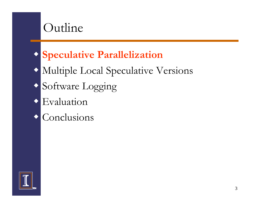#### Outline

#### **Speculative Parallelization**

Multiple Local Speculative Versions

- Software Logging
- Evaluation
- **Conclusions**

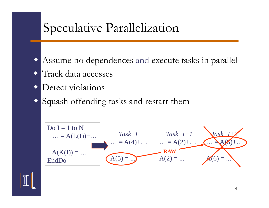## Speculative Parallelization

- Assume no de pendences and execute tasks in paralle l
- ◆ Track data accesses
- $\blacklozenge$ Detect violations
- $\blacklozenge$ Squash offending tasks and restart them



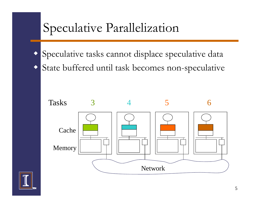## Speculative Parallelization

 $\blacklozenge$  Speculative tasks cannot displace speculative data  $\blacklozenge$ State buffered until task becomes non-speculative



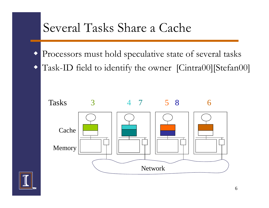



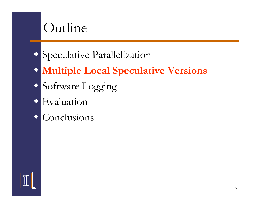#### Outline

- Speculative Parallelization
- **Multiple Local Speculative Versions**
- Software Logging
- Evaluation
- **Conclusions**

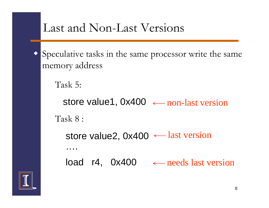

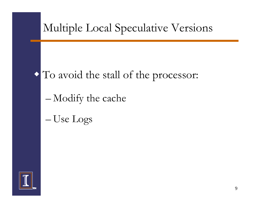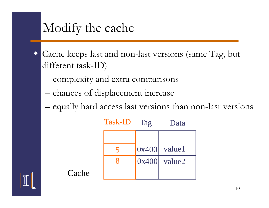## Modify the cache

**Cache** 

- $\blacklozenge$  Cache keeps last and non-last versions (same Tag, but different task-ID)
	- –complexity and extra comparisons
	- chances of displacement increase
	- –equally hard access last versions than non-last versions

Tag Data

|  | $0x400$ value1 |
|--|----------------|
|  | $0x400$ value2 |
|  |                |

Task-ID

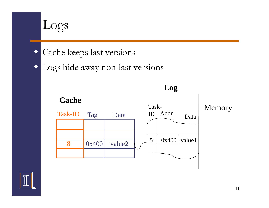

Cache keeps last versions

 $\blacklozenge$  Logs hide away non-last versions



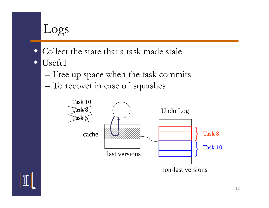# Logs

- Collect the state that a task made stale
- $\blacklozenge$  Useful
	- –Free up space when the task commits
	- –To recover in case of squashes



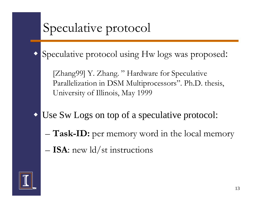## Speculative protocol

 $\blacklozenge$ Speculative protocol using Hw logs was proposed:

[Zhang99] Y. Zhang. "Hardware for Speculative Parallelization in DSM Multiprocessors". Ph.D. thesis, University of Illinois, May 1999

- $\blacklozenge$  Use Sw Logs on top of <sup>a</sup> speculative protocol: top
	- –**Task-ID:** per memory word in the local memory
	- –**ISA**: new ld/st instructions

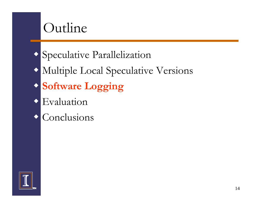### Outline

- Speculative Parallelization
- Multiple Local Speculative Versions
- $\bullet$  **Software Logging**
- Evaluation
- **Conclusions**

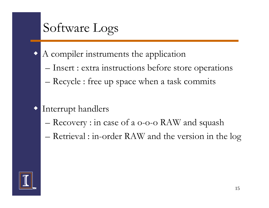## Software Logs

- $\blacklozenge$  A compiler instruments the application
	- –– Insert : extra instructions before store operations
	- –Recycle : free up space when a task commits
- $\blacklozenge$  Interrupt handlers
	- –Recovery : in case of a o-o-o RAW and squash
	- –Retrieval : in-order RAW and the version in the log

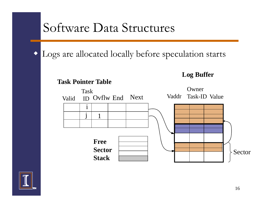#### Software Data Structures

Logs are allocated locally before speculation starts

**Task Pointer Table**



**Log Buffer**

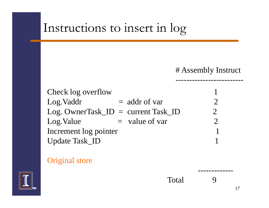#### Instructions to insert in log

#### # Assembly Instruct

-------------------------

-------------

| Check log overflow    |                                        |  |
|-----------------------|----------------------------------------|--|
| Log. Vaddr            | $=$ addr of var                        |  |
|                       | $Log.$ OwnerTask $ID = current TaskID$ |  |
| Log. Value            | $=$ value of var                       |  |
| Increment log pointer |                                        |  |
| <b>Update Task_ID</b> |                                        |  |

#### Original store



Total 9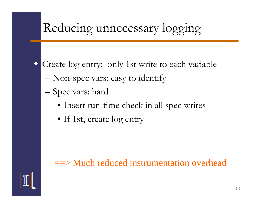

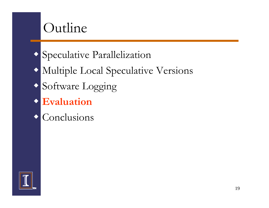### Outline

- Speculative Parallelization
- Multiple Local Speculative Versions
- Software Logging
- **Evaluation**
- **Conclusions**

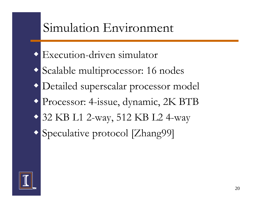

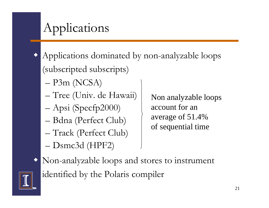## Applications

- $\blacklozenge$  Applications dominated by non-analyzable loops (subscripted subscripts)
	- –P3m (NCSA)
	- –Tree (Univ. de Hawaii)
	- –Apsi (Specfp2000)
	- $-$  Bdna (Perfect Club)  $-$  average of 51.4% Bdna (Perfect Club)
	- –Track (Perfect Club)
	- Dsmc3d (HPF2) – Dsmc3d

Non analyzable loops account for ane of 51.4% of sequential time

 $\blacklozenge$  Non-analyzable loops and stores to instrument identified by the Polaris compiler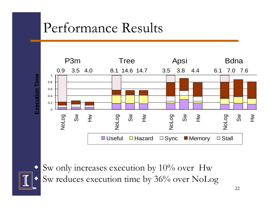## Performance Results





 $\blacklozenge$  Sw only increases execution by 10% over Hw Sw reduces execution time by 36% over NoLog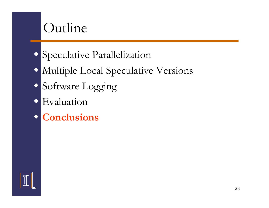## Outline

- Speculative Parallelization
- Multiple Local Speculative Versions
- Software Logging
- Evaluation
- **Conclusions**

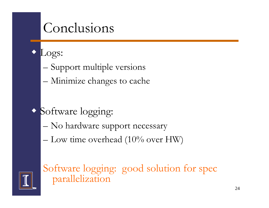## Conclusions

- $\blacklozenge$  Logs:
	- –– Support multiple versions
	- –Minimize changes to cache
- Software logging:
	- –No hardware support necessary
	- – $-$  Low time overhead (10% over HW)



Software logging: good solution for spec parallelization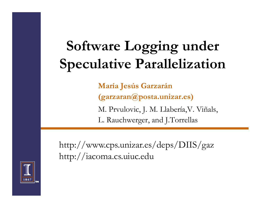# **Software Logging under Speculative Parallelization**

**María Jesús Garzarán (garzaran@posta.unizar.es)** M. Prvulovic, J. M. Llabería,V. Viñals, L. Rauchwerger, an d J.Torrellas

http://www.cps.unizar.es/deps/DIIS/gaz http://iacoma.cs.uiuc.edu

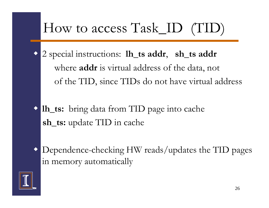# How to access Task\_ID (TID)

- $\blacklozenge$  2 special instructions: **lh\_ts addr**, **sh\_ts addr** where **addr** is virtual address of the data, not of the TID, since TIDs do not have virtual address
- **lh\_ts:** bring data from TID page into cache **sh\_ts:** update TID in cache
- $\blacklozenge$ Dependence-checking HW reads/updates the TID pages in memory automatically

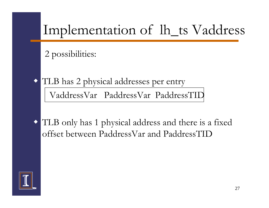# Implementation of lh\_ts Vaddress

#### 2 possibilities:

- TLB has 2 physical addresses per entry VaddressVar PaddressVar PaddressTID
- TLB only has 1 physical address and there is a fixed offset between PaddressVar and PaddressTID

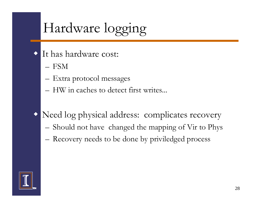# Hardware logging

- It has hardware cost:
	- FSM

 $\blacklozenge$ 

- –Extra protocol messages
- $-$  HW in caches to detect first writes...
- Need log physical address: complicates recovery
	- –Should not have changed the mapping of Vir to Phys
	- Recovery needs to be done by priviledged process

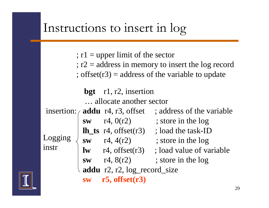### Instructions to insert in log

 $;$   $r1 =$  upper limit of the sector ; r2 <sup>=</sup> address in memory to insert the log record ; offset( $r3$ ) = address of the variable to update

|       | bgt r1, r2, insertion                   |                           |
|-------|-----------------------------------------|---------------------------|
|       | allocate another sector                 |                           |
|       | insertion: $\alpha$ addu r4, r3, offset | ; address of the variable |
|       | sw $r4, 0(r2)$                          | ; store in the log        |
| instr | $\ln$ _ts r4, offset(r3)                | ; load the task-ID        |
|       | <b>sw</b> r4, $4(r2)$                   | ; store in the log        |
|       | $\mathbf{lw}$ r4, offset(r3)            | ; load value of variable  |
|       | <b>sw</b> r4, $8(r2)$                   | ; store in the log        |
|       | addu r2, r2, log_record_size            |                           |
|       | $r5$ , offset $(r3)$                    |                           |



 $\mathbf{i}$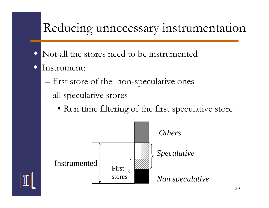#### Reducing unnecessary instrumentation

- $\blacklozenge$ Not all the stores need to be instrumented
- $\blacklozenge$ Instrument:
	- –first store of the non-speculative ones
	- – all speculative stores
		- Run time filtering of the first speculative store



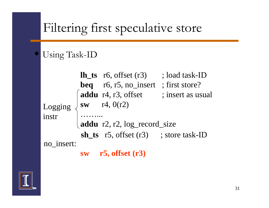#### Filtering first speculative store

#### Using Task-ID

♦



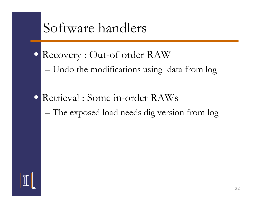## Software handlers

- Recovery : Out-of order RAW
	- –Undo the modifications using data from lo g
- Retrieval : Some in-order RAWs – The exposed load needs dig version from log

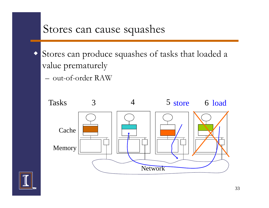#### Stores can cause squashes

- Stores can produce squashes of tasks that loaded a value prematurely
	- out-of-order RAW



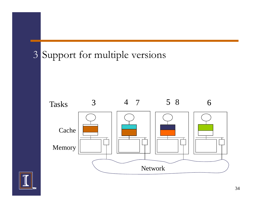#### 3 Support for multiple versions



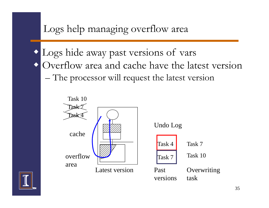

 Logs hide away past versions of vars  $\blacklozenge$ Overflow area and cache have the latest version –The processor will request the latest version



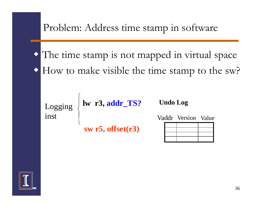Problem: Address time stamp in software

 The time stamp is not mapped in virtual space How to make visible the time stamp to the sw?

inst

Logging **Result R3, addr\_TS?** Undo Log

**sw r5, offset(r3)**

Vaddr Version Value

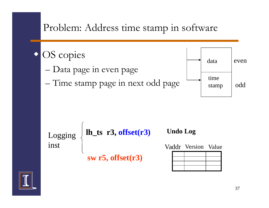





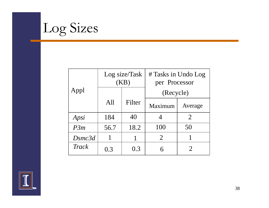

|        | Log size/Task<br>(KB) |           | # Tasks in Undo Log<br>per Processor |                       |
|--------|-----------------------|-----------|--------------------------------------|-----------------------|
| Appl   |                       | (Recycle) |                                      |                       |
|        | All                   | Filter    | Maximum                              | Average               |
| Apsi   | 184                   | 40        |                                      | $\overline{2}$        |
| P3m    | 56.7                  | 18.2      | 100                                  | 50                    |
| Dsmc3d | 1                     |           | $\overline{2}$                       |                       |
| Track  | 0.3                   | 0.3       |                                      | $\mathcal{D}_{\cdot}$ |

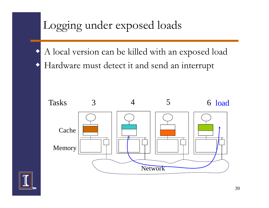#### Logging under exposed loads

 $\blacklozenge$  A local version can be killed with an exposed load  $\blacklozenge$ Hardware must detect it and send an interrupt